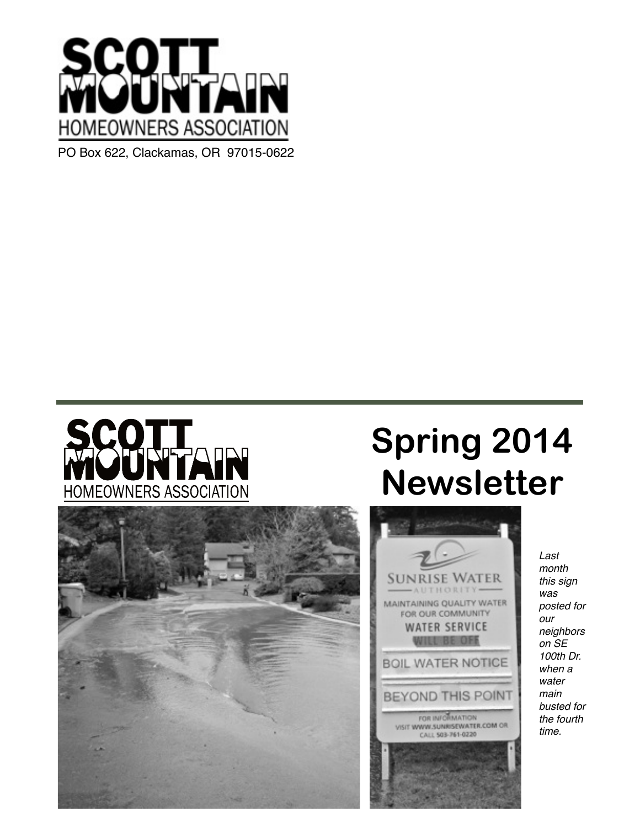



# **Spring 2014 Newsletter**

**SUNRISE WATER** AUTHORITY-

> FOR OUR COMMUNITY **WATER SERVICE** *NILL BE OFF*

> > FOR INFORMATION

CALL 503-761-0220



*Last month this sign was*  MAINTAINING QUALITY WATER *posted for our neighbors on SE 100th Dr.*  **BOIL WATER NOTICE** *when a water main*  **BEYOND THIS POINT** *busted for the fourth*  VISIT WWW.SUNRISEWATER.COM OR *time.*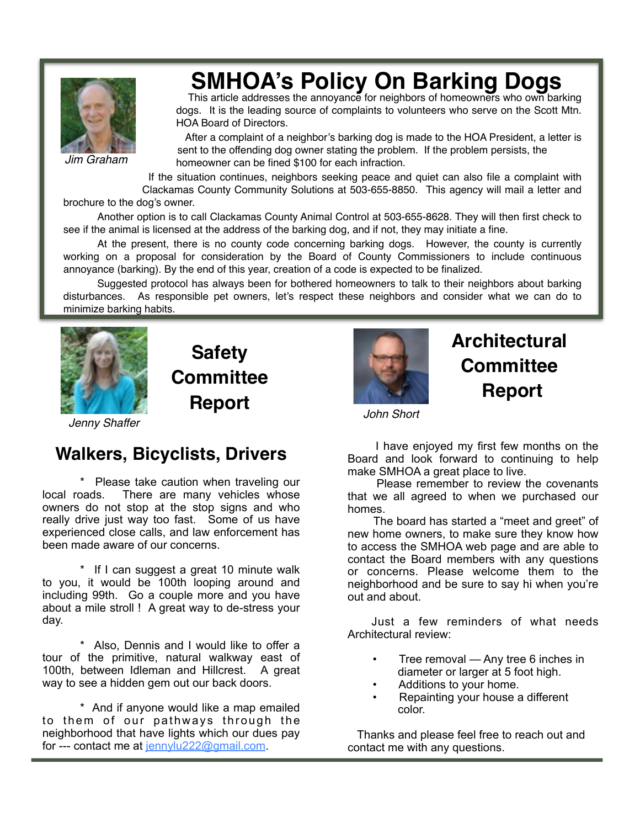

*Jim Graham*

## **SMHOA's Policy On Barking Dogs**

! ! This article addresses the annoyance for neighbors of homeowners who own barking dogs. It is the leading source of complaints to volunteers who serve on the Scott Mtn. HOA Board of Directors.

> After a complaint of a neighbor's barking dog is made to the HOA President, a letter is sent to the offending dog owner stating the problem. If the problem persists, the homeowner can be fined \$100 for each infraction.

If the situation continues, neighbors seeking peace and quiet can also file a complaint with Clackamas County Community Solutions at 503-655-8850. This agency will mail a letter and brochure to the dog's owner.

 Another option is to call Clackamas County Animal Control at 503-655-8628. They will then first check to see if the animal is licensed at the address of the barking dog, and if not, they may initiate a fine.

 At the present, there is no county code concerning barking dogs. However, the county is currently working on a proposal for consideration by the Board of County Commissioners to include continuous annoyance (barking). By the end of this year, creation of a code is expected to be finalized.

 Suggested protocol has always been for bothered homeowners to talk to their neighbors about barking disturbances. As responsible pet owners, let's respect these neighbors and consider what we can do to minimize barking habits.



**Safety Committee Report**

### **Architectural Committee Report**

*John Short*

*Jenny Shaffer*

#### **Walkers, Bicyclists, Drivers**

 \* Please take caution when traveling our local roads. There are many vehicles whose owners do not stop at the stop signs and who really drive just way too fast. Some of us have experienced close calls, and law enforcement has been made aware of our concerns.

 \* If I can suggest a great 10 minute walk to you, it would be 100th looping around and including 99th. Go a couple more and you have about a mile stroll ! A great way to de-stress your day.

 \* Also, Dennis and I would like to offer a tour of the primitive, natural walkway east of 100th, between Idleman and Hillcrest. A great way to see a hidden gem out our back doors.

 \* And if anyone would like a map emailed to them of our pathways through the neighborhood that have lights which our dues pay for --- contact me at jennylu222@gmail.com.

 I have enjoyed my first few months on the Board and look forward to continuing to help make SMHOA a great place to live.

 Please remember to review the covenants that we all agreed to when we purchased our homes.

 The board has started a "meet and greet" of new home owners, to make sure they know how to access the SMHOA web page and are able to contact the Board members with any questions or concerns. Please welcome them to the neighborhood and be sure to say hi when you're out and about.

 Just a few reminders of what needs Architectural review:

- Tree removal Any tree 6 inches in diameter or larger at 5 foot high.
- Additions to your home.
- Repainting your house a different color.

 Thanks and please feel free to reach out and contact me with any questions.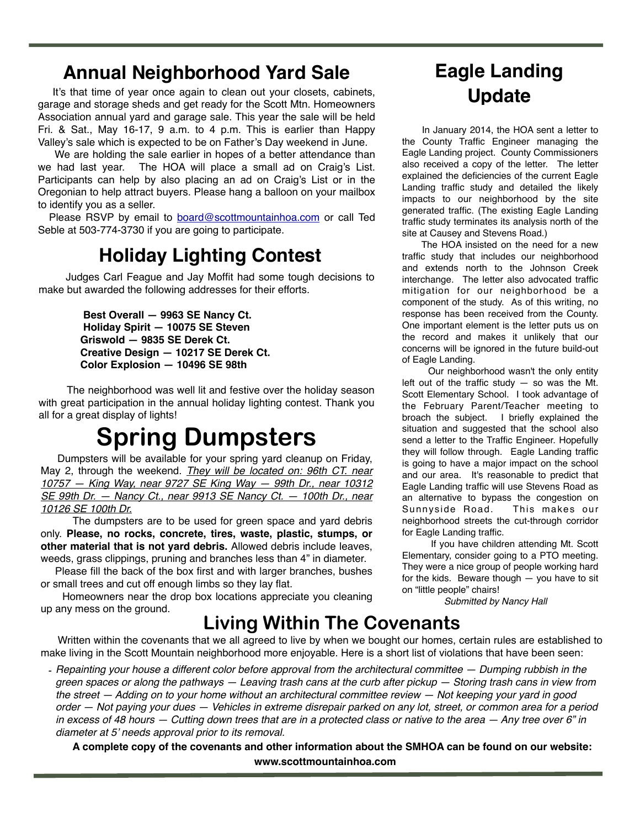### **Annual Neighborhood Yard Sale**

 It's that time of year once again to clean out your closets, cabinets, garage and storage sheds and get ready for the Scott Mtn. Homeowners Association annual yard and garage sale. This year the sale will be held Fri. & Sat., May 16-17, 9 a.m. to 4 p.m. This is earlier than Happy Valley's sale which is expected to be on Father's Day weekend in June.

 We are holding the sale earlier in hopes of a better attendance than we had last year. The HOA will place a small ad on Craig's List. Participants can help by also placing an ad on Craig's List or in the Oregonian to help attract buyers. Please hang a balloon on your mailbox to identify you as a seller.

Please RSVP by email to board@scottmountainhoa.com or call Ted Seble at 503-774-3730 if you are going to participate.

### **Holiday Lighting Contest**

 Judges Carl Feague and Jay Moffit had some tough decisions to make but awarded the following addresses for their efforts.

> **Best Overall — 9963 SE Nancy Ct. Holiday Spirit — 10075 SE Steven Griswold — 9835 SE Derek Ct. Creative Design — 10217 SE Derek Ct. Color Explosion — 10496 SE 98th**

 The neighborhood was well lit and festive over the holiday season with great participation in the annual holiday lighting contest. Thank you all for a great display of lights!

## **Spring Dumpsters**

 Dumpsters will be available for your spring yard cleanup on Friday, May 2, through the weekend. *They will be located on: 96th CT. near 10757 — King Way, near 9727 SE King Way — 99th Dr., near 10312 SE 99th Dr. — Nancy Ct., near 9913 SE Nancy Ct. — 100th Dr., near 10126 SE 100th Dr.*

 The dumpsters are to be used for green space and yard debris only. **Please, no rocks, concrete, tires, waste, plastic, stumps, or other material that is not yard debris.** Allowed debris include leaves, weeds, grass clippings, pruning and branches less than 4" in diameter.

 Please fill the back of the box first and with larger branches, bushes or small trees and cut off enough limbs so they lay flat.

 Homeowners near the drop box locations appreciate you cleaning up any mess on the ground.

### **Eagle Landing Update**

 In January 2014, the HOA sent a letter to the County Traffic Engineer managing the Eagle Landing project. County Commissioners also received a copy of the letter. The letter explained the deficiencies of the current Eagle Landing traffic study and detailed the likely impacts to our neighborhood by the site generated traffic. (The existing Eagle Landing traffic study terminates its analysis north of the site at Causey and Stevens Road.)

 The HOA insisted on the need for a new traffic study that includes our neighborhood and extends north to the Johnson Creek interchange. The letter also advocated traffic mitigation for our neighborhood be a component of the study. As of this writing, no response has been received from the County. One important element is the letter puts us on the record and makes it unlikely that our concerns will be ignored in the future build-out of Eagle Landing.

 Our neighborhood wasn't the only entity left out of the traffic study  $-$  so was the Mt. Scott Elementary School. I took advantage of the February Parent/Teacher meeting to broach the subject. I briefly explained the situation and suggested that the school also send a letter to the Traffic Engineer. Hopefully they will follow through. Eagle Landing traffic is going to have a major impact on the school and our area. It's reasonable to predict that Eagle Landing traffic will use Stevens Road as an alternative to bypass the congestion on Sunnyside Road. This makes our neighborhood streets the cut-through corridor for Eagle Landing traffic.

 If you have children attending Mt. Scott Elementary, consider going to a PTO meeting. They were a nice group of people working hard for the kids. Beware though  $-$  you have to sit on "little people" chairs!

*Submitted by Nancy Hall*

#### **Living Within The Covenants**

 Written within the covenants that we all agreed to live by when we bought our homes, certain rules are established to make living in the Scott Mountain neighborhood more enjoyable. Here is a short list of violations that have been seen:

*- Repainting your house a different color before approval from the architectural committee — Dumping rubbish in the green spaces or along the pathways — Leaving trash cans at the curb after pickup — Storing trash cans in view from the street — Adding on to your home without an architectural committee review — Not keeping your yard in good order — Not paying your dues — Vehicles in extreme disrepair parked on any lot, street, or common area for a period in excess of 48 hours — Cutting down trees that are in a protected class or native to the area — Any tree over 6" in diameter at 5' needs approval prior to its removal.*

 **A complete copy of the covenants and other information about the SMHOA can be found on our website: www.scottmountainhoa.com**